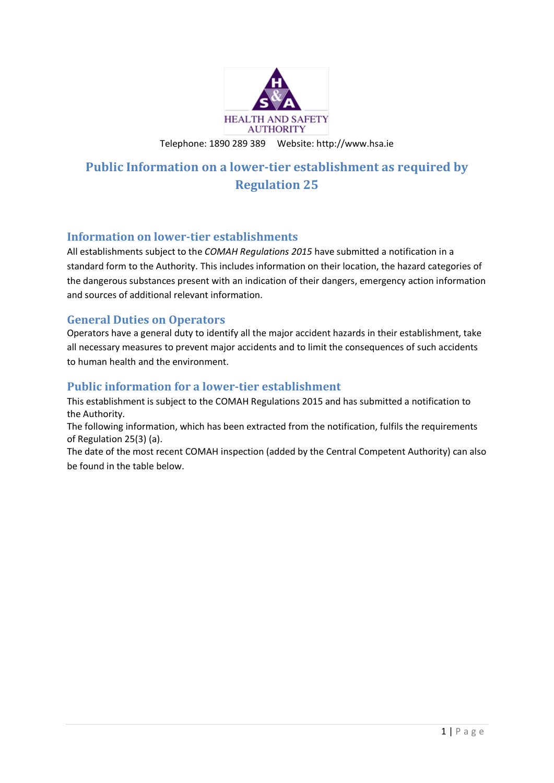

Telephone: 1890 289 389 Website: http://www.hsa.ie

# **Public Information on a lower-tier establishment as required by Regulation 25**

#### **Information on lower-tier establishments**

All establishments subject to the *COMAH Regulations 2015* have submitted a notification in a standard form to the Authority. This includes information on their location, the hazard categories of the dangerous substances present with an indication of their dangers, emergency action information and sources of additional relevant information.

#### **General Duties on Operators**

Operators have a general duty to identify all the major accident hazards in their establishment, take all necessary measures to prevent major accidents and to limit the consequences of such accidents to human health and the environment.

#### **Public information for a lower-tier establishment**

This establishment is subject to the COMAH Regulations 2015 and has submitted a notification to the Authority.

The following information, which has been extracted from the notification, fulfils the requirements of Regulation 25(3) (a).

The date of the most recent COMAH inspection (added by the Central Competent Authority) can also be found in the table below.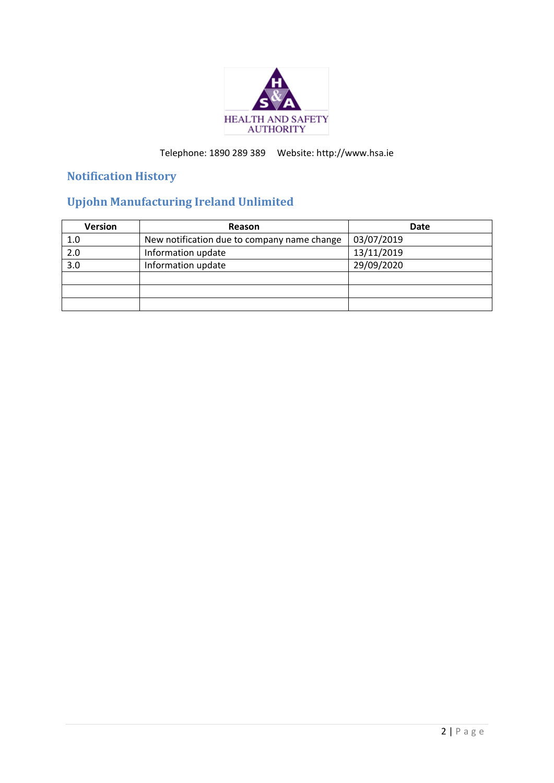

## Telephone: 1890 289 389 Website: http://www.hsa.ie

## **Notification History**

# **Upjohn Manufacturing Ireland Unlimited**

| <b>Version</b>   | Reason                                      | <b>Date</b> |
|------------------|---------------------------------------------|-------------|
| 1.0              | New notification due to company name change | 03/07/2019  |
| $\overline{2.0}$ | Information update                          | 13/11/2019  |
| $\overline{3.0}$ | Information update                          | 29/09/2020  |
|                  |                                             |             |
|                  |                                             |             |
|                  |                                             |             |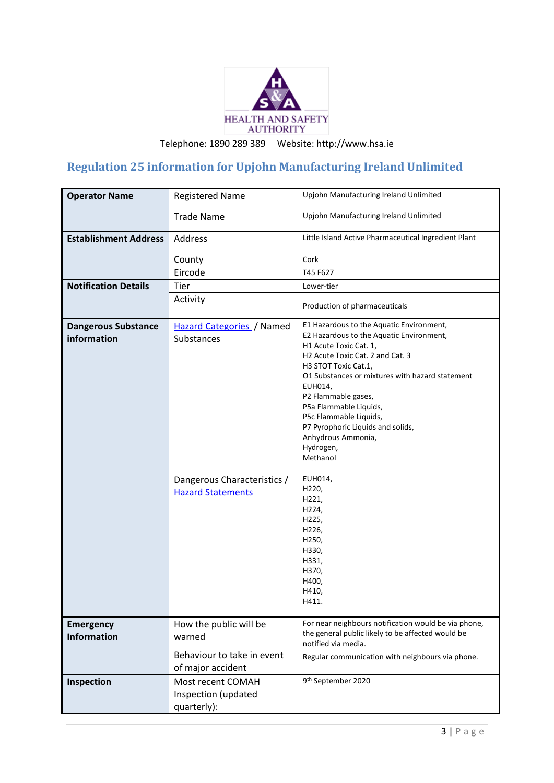

Telephone: 1890 289 389 Website: http://www.hsa.ie

## **Regulation 25 information for Upjohn Manufacturing Ireland Unlimited**

| <b>Operator Name</b>                      | <b>Registered Name</b>                                  | Upjohn Manufacturing Ireland Unlimited                                                                                                                                                                                                                                                                                                                                                                  |
|-------------------------------------------|---------------------------------------------------------|---------------------------------------------------------------------------------------------------------------------------------------------------------------------------------------------------------------------------------------------------------------------------------------------------------------------------------------------------------------------------------------------------------|
|                                           |                                                         |                                                                                                                                                                                                                                                                                                                                                                                                         |
|                                           | <b>Trade Name</b>                                       | Upjohn Manufacturing Ireland Unlimited                                                                                                                                                                                                                                                                                                                                                                  |
| <b>Establishment Address</b>              | Address                                                 | Little Island Active Pharmaceutical Ingredient Plant                                                                                                                                                                                                                                                                                                                                                    |
|                                           | County                                                  | Cork                                                                                                                                                                                                                                                                                                                                                                                                    |
|                                           | Eircode                                                 | T45 F627                                                                                                                                                                                                                                                                                                                                                                                                |
| <b>Notification Details</b>               | Tier                                                    | Lower-tier                                                                                                                                                                                                                                                                                                                                                                                              |
|                                           | Activity                                                | Production of pharmaceuticals                                                                                                                                                                                                                                                                                                                                                                           |
| <b>Dangerous Substance</b><br>information | <b>Hazard Categories</b> / Named<br>Substances          | E1 Hazardous to the Aquatic Environment,<br>E2 Hazardous to the Aquatic Environment,<br>H1 Acute Toxic Cat. 1,<br>H2 Acute Toxic Cat. 2 and Cat. 3<br>H3 STOT Toxic Cat.1,<br>O1 Substances or mixtures with hazard statement<br>EUH014,<br>P2 Flammable gases,<br>P5a Flammable Liquids,<br>P5c Flammable Liquids,<br>P7 Pyrophoric Liquids and solids,<br>Anhydrous Ammonia,<br>Hydrogen,<br>Methanol |
|                                           | Dangerous Characteristics /<br><b>Hazard Statements</b> | EUH014,<br>H220,<br>H221,<br>H224,<br>H225,<br>H226,<br>H250,<br>H330,<br>H331,<br>H370,<br>H400,<br>H410,<br>H411.                                                                                                                                                                                                                                                                                     |
| <b>Emergency</b><br><b>Information</b>    | How the public will be<br>warned                        | For near neighbours notification would be via phone,<br>the general public likely to be affected would be<br>notified via media.                                                                                                                                                                                                                                                                        |
|                                           | Behaviour to take in event<br>of major accident         | Regular communication with neighbours via phone.                                                                                                                                                                                                                                                                                                                                                        |
| Inspection                                | Most recent COMAH<br>Inspection (updated<br>quarterly): | 9 <sup>th</sup> September 2020                                                                                                                                                                                                                                                                                                                                                                          |